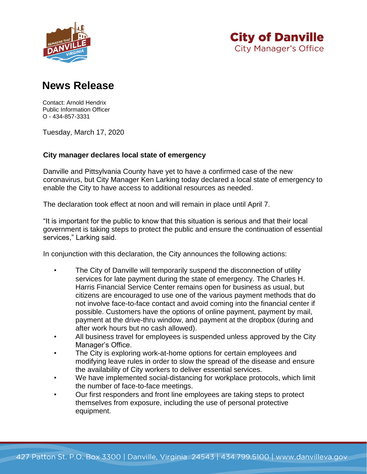



## **News Release**

Contact: Arnold Hendrix Public Information Officer O - 434-857-3331

Tuesday, March 17, 2020

## **City manager declares local state of emergency**

Danville and Pittsylvania County have yet to have a confirmed case of the new coronavirus, but City Manager Ken Larking today declared a local state of emergency to enable the City to have access to additional resources as needed.

The declaration took effect at noon and will remain in place until April 7.

"It is important for the public to know that this situation is serious and that their local government is taking steps to protect the public and ensure the continuation of essential services," Larking said.

In conjunction with this declaration, the City announces the following actions:

- The City of Danville will temporarily suspend the disconnection of utility services for late payment during the state of emergency. The Charles H. Harris Financial Service Center remains open for business as usual, but citizens are encouraged to use one of the various payment methods that do not involve face-to-face contact and avoid coming into the financial center if possible. Customers have the options of online payment, payment by mail, payment at the drive-thru window, and payment at the dropbox (during and after work hours but no cash allowed).
- All business travel for employees is suspended unless approved by the City Manager's Office.
- The City is exploring work-at-home options for certain employees and modifying leave rules in order to slow the spread of the disease and ensure the availability of City workers to deliver essential services.
- We have implemented social-distancing for workplace protocols, which limit the number of face-to-face meetings.
- Our first responders and front line employees are taking steps to protect themselves from exposure, including the use of personal protective equipment.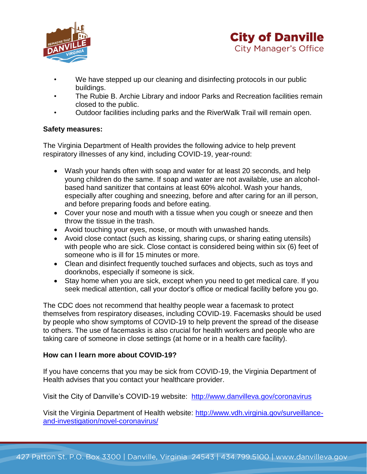



- We have stepped up our cleaning and disinfecting protocols in our public buildings.
- The Rubie B. Archie Library and indoor Parks and Recreation facilities remain closed to the public.
- Outdoor facilities including parks and the RiverWalk Trail will remain open.

## **Safety measures:**

The Virginia Department of Health provides the following advice to help prevent respiratory illnesses of any kind, including COVID-19, year-round:

- Wash your hands often with soap and water for at least 20 seconds, and help young children do the same. If soap and water are not available, use an alcoholbased hand sanitizer that contains at least 60% alcohol. Wash your hands, especially after coughing and sneezing, before and after caring for an ill person, and before preparing foods and before eating.
- Cover your nose and mouth with a tissue when you cough or sneeze and then throw the tissue in the trash.
- Avoid touching your eyes, nose, or mouth with unwashed hands.
- Avoid close contact (such as kissing, sharing cups, or sharing eating utensils) with people who are sick. Close contact is considered being within six (6) feet of someone who is ill for 15 minutes or more.
- Clean and disinfect frequently touched surfaces and objects, such as toys and doorknobs, especially if someone is sick.
- Stay home when you are sick, except when you need to get medical care. If you seek medical attention, call your doctor's office or medical facility before you go.

The CDC does not recommend that healthy people wear a facemask to protect themselves from respiratory diseases, including COVID-19. Facemasks should be used by people who show symptoms of COVID-19 to help prevent the spread of the disease to others. The use of facemasks is also crucial for health workers and people who are taking care of someone in close settings (at home or in a health care facility).

## **How can I learn more about COVID-19?**

If you have concerns that you may be sick from COVID-19, the Virginia Department of Health advises that you contact your healthcare provider.

Visit the City of Danville's COVID-19 website: http://www.danvilleva.gov/coronavirus

Visit the Virginia Department of Health website: [http://www.vdh.virginia.gov/surveillance](http://www.vdh.virginia.gov/surveillance-and-investigation/novel-coronavirus/)[and-investigation/novel-coronavirus/](http://www.vdh.virginia.gov/surveillance-and-investigation/novel-coronavirus/)